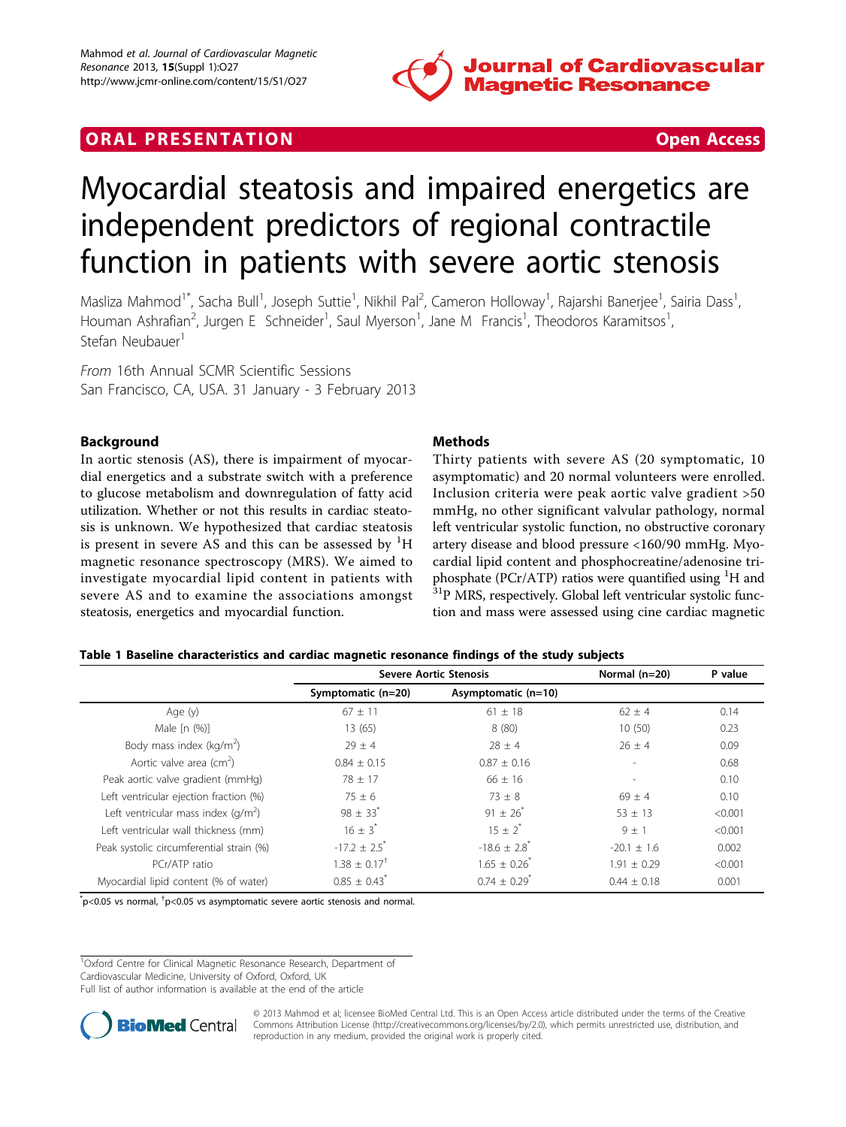

# <span id="page-0-0"></span>**ORAL PRESENTATION CONSUMING ACCESS**

# Myocardial steatosis and impaired energetics are independent predictors of regional contractile function in patients with severe aortic stenosis

Masliza Mahmod<sup>1\*</sup>, Sacha Bull<sup>1</sup>, Joseph Suttie<sup>1</sup>, Nikhil Pal<sup>2</sup>, Cameron Holloway<sup>1</sup>, Rajarshi Banerjee<sup>1</sup>, Sairia Dass<sup>1</sup> , Houman Ashrafian<sup>2</sup>, Jurgen E Schneider<sup>1</sup>, Saul Myerson<sup>1</sup>, Jane M Francis<sup>1</sup>, Theodoros Karamitsos<sup>1</sup> , Stefan Neubauer<sup>1</sup>

From 16th Annual SCMR Scientific Sessions San Francisco, CA, USA. 31 January - 3 February 2013

### Background

In aortic stenosis (AS), there is impairment of myocardial energetics and a substrate switch with a preference to glucose metabolism and downregulation of fatty acid utilization. Whether or not this results in cardiac steatosis is unknown. We hypothesized that cardiac steatosis is present in severe AS and this can be assessed by  $^1\mathrm{H}$ magnetic resonance spectroscopy (MRS). We aimed to investigate myocardial lipid content in patients with severe AS and to examine the associations amongst steatosis, energetics and myocardial function.

### Methods

Thirty patients with severe AS (20 symptomatic, 10 asymptomatic) and 20 normal volunteers were enrolled. Inclusion criteria were peak aortic valve gradient >50 mmHg, no other significant valvular pathology, normal left ventricular systolic function, no obstructive coronary artery disease and blood pressure <160/90 mmHg. Myocardial lipid content and phosphocreatine/adenosine triphosphate (PCr/ATP) ratios were quantified using  ${}^{1}H$  and  $31P$  MRS, respectively. Global left ventricular systolic function and mass were assessed using cine cardiac magnetic

#### Table 1 Baseline characteristics and cardiac magnetic resonance findings of the study subjects

|                                          | <b>Severe Aortic Stenosis</b> |                              | Normal (n=20)            | P value |
|------------------------------------------|-------------------------------|------------------------------|--------------------------|---------|
|                                          | Symptomatic (n=20)            | Asymptomatic (n=10)          |                          |         |
| Age (y)                                  | $67 \pm 11$                   | $61 \pm 18$                  | $62 \pm 4$               | 0.14    |
| Male $[n (%)]$                           | 13(65)                        | 8(80)                        | 10(50)                   | 0.23    |
| Body mass index ( $\text{kg/m}^2$ )      | $29 \pm 4$                    | $28 \pm 4$                   | $26 \pm 4$               | 0.09    |
| Aortic valve area (cm <sup>2</sup> )     | $0.84 + 0.15$                 | $0.87 + 0.16$                | $\overline{\phantom{a}}$ | 0.68    |
| Peak aortic valve gradient (mmHg)        | $78 + 17$                     | $66 + 16$                    |                          | 0.10    |
| Left ventricular ejection fraction (%)   | $75 \pm 6$                    | $73 \pm 8$                   | $69 \pm 4$               | 0.10    |
| Left ventricular mass index $(q/m^2)$    | $98 \pm 33^{*}$               | $91 \pm 26$ <sup>*</sup>     | $53 \pm 13$              | < 0.001 |
| Left ventricular wall thickness (mm)     | $16 \pm 3^{*}$                | $15 + 2^*$                   | $9 + 1$                  | < 0.001 |
| Peak systolic circumferential strain (%) | $-17.2 \pm 2.5$ <sup>*</sup>  | $-18.6 \pm 2.8$ <sup>*</sup> | $-20.1 \pm 1.6$          | 0.002   |
| PCr/ATP ratio                            | $1.38 \pm 0.17$ <sup>†</sup>  | $1.65 \pm 0.26$              | $1.91 + 0.29$            | < 0.001 |
| Myocardial lipid content (% of water)    | $0.85 \pm 0.43$               | $0.74 + 0.29$                | $0.44 + 0.18$            | 0.001   |

 $\mathrm{^*p}$ <0.05 vs normal,  $\mathrm{^+p}$ <0.05 vs asymptomatic severe aortic stenosis and normal.

<sup>1</sup>Oxford Centre for Clinical Magnetic Resonance Research, Department of

Cardiovascular Medicine, University of Oxford, Oxford, UK

Full list of author information is available at the end of the article



© 2013 Mahmod et al; licensee BioMed Central Ltd. This is an Open Access article distributed under the terms of the Creative Commons Attribution License [\(http://creativecommons.org/licenses/by/2.0](http://creativecommons.org/licenses/by/2.0)), which permits unrestricted use, distribution, and reproduction in any medium, provided the original work is properly cited.